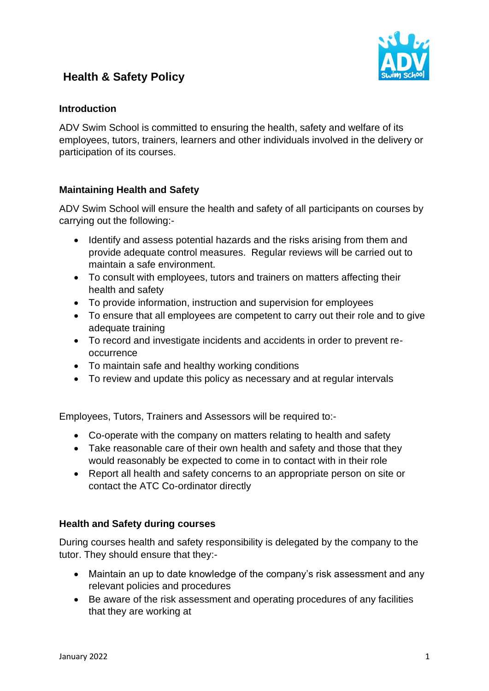



## **Introduction**

ADV Swim School is committed to ensuring the health, safety and welfare of its employees, tutors, trainers, learners and other individuals involved in the delivery or participation of its courses.

## **Maintaining Health and Safety**

ADV Swim School will ensure the health and safety of all participants on courses by carrying out the following:-

- Identify and assess potential hazards and the risks arising from them and provide adequate control measures. Regular reviews will be carried out to maintain a safe environment.
- To consult with employees, tutors and trainers on matters affecting their health and safety
- To provide information, instruction and supervision for employees
- To ensure that all employees are competent to carry out their role and to give adequate training
- To record and investigate incidents and accidents in order to prevent reoccurrence
- To maintain safe and healthy working conditions
- To review and update this policy as necessary and at regular intervals

Employees, Tutors, Trainers and Assessors will be required to:-

- Co-operate with the company on matters relating to health and safety
- Take reasonable care of their own health and safety and those that they would reasonably be expected to come in to contact with in their role
- Report all health and safety concerns to an appropriate person on site or contact the ATC Co-ordinator directly

## **Health and Safety during courses**

During courses health and safety responsibility is delegated by the company to the tutor. They should ensure that they:-

- Maintain an up to date knowledge of the company's risk assessment and any relevant policies and procedures
- Be aware of the risk assessment and operating procedures of any facilities that they are working at